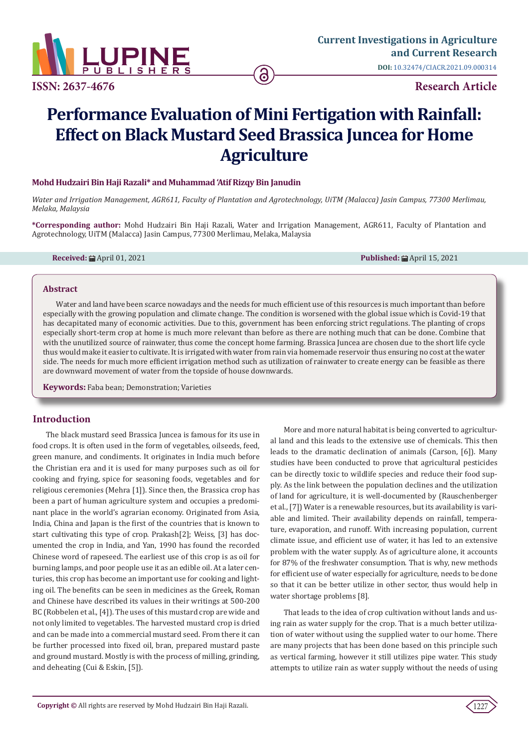

**ISSN: 2637-4676 Research Article** 

# **Performance Evaluation of Mini Fertigation with Rainfall: Effect on Black Mustard Seed Brassica Juncea for Home Agriculture**

### **Mohd Hudzairi Bin Haji Razali\* and Muhammad 'Atif Rizqy Bin Janudin**

*Water and Irrigation Management, AGR611, Faculty of Plantation and Agrotechnology, UiTM (Malacca) Jasin Campus, 77300 Merlimau, Melaka, Malaysia*

**\*Corresponding author:** Mohd Hudzairi Bin Haji Razali, Water and Irrigation Management, AGR611, Faculty of Plantation and Agrotechnology, UiTM (Malacca) Jasin Campus, 77300 Merlimau, Melaka, Malaysia

**Received:** April 01, 2021 **Published:** April 15, 2021

#### **Abstract**

Water and land have been scarce nowadays and the needs for much efficient use of this resources is much important than before especially with the growing population and climate change. The condition is worsened with the global issue which is Covid-19 that has decapitated many of economic activities. Due to this, government has been enforcing strict regulations. The planting of crops especially short-term crop at home is much more relevant than before as there are nothing much that can be done. Combine that with the unutilized source of rainwater, thus come the concept home farming. Brassica Juncea are chosen due to the short life cycle thus would make it easier to cultivate. It is irrigated with water from rain via homemade reservoir thus ensuring no cost at the water side. The needs for much more efficient irrigation method such as utilization of rainwater to create energy can be feasible as there are downward movement of water from the topside of house downwards.

**Keywords:** Faba bean; Demonstration; Varieties

## **Introduction**

The black mustard seed Brassica Juncea is famous for its use in food crops. It is often used in the form of vegetables, oilseeds, feed, green manure, and condiments. It originates in India much before the Christian era and it is used for many purposes such as oil for cooking and frying, spice for seasoning foods, vegetables and for religious ceremonies (Mehra [1]). Since then, the Brassica crop has been a part of human agriculture system and occupies a predominant place in the world's agrarian economy. Originated from Asia, India, China and Japan is the first of the countries that is known to start cultivating this type of crop. Prakash[2]; Weiss, [3] has documented the crop in India, and Yan, 1990 has found the recorded Chinese word of rapeseed. The earliest use of this crop is as oil for burning lamps, and poor people use it as an edible oil. At a later centuries, this crop has become an important use for cooking and lighting oil. The benefits can be seen in medicines as the Greek, Roman and Chinese have described its values in their writings at 500-200 BC (Robbelen et al., [4]). The uses of this mustard crop are wide and not only limited to vegetables. The harvested mustard crop is dried and can be made into a commercial mustard seed. From there it can be further processed into fixed oil, bran, prepared mustard paste and ground mustard. Mostly is with the process of milling, grinding, and deheating (Cui & Eskin, [5]).

More and more natural habitat is being converted to agricultural land and this leads to the extensive use of chemicals. This then leads to the dramatic declination of animals (Carson, [6]). Many studies have been conducted to prove that agricultural pesticides can be directly toxic to wildlife species and reduce their food supply. As the link between the population declines and the utilization of land for agriculture, it is well-documented by (Rauschenberger et al., [7]) Water is a renewable resources, but its availability is variable and limited. Their availability depends on rainfall, temperature, evaporation, and runoff. With increasing population, current climate issue, and efficient use of water, it has led to an extensive problem with the water supply. As of agriculture alone, it accounts for 87% of the freshwater consumption. That is why, new methods for efficient use of water especially for agriculture, needs to be done so that it can be better utilize in other sector, thus would help in water shortage problems [8].

That leads to the idea of crop cultivation without lands and using rain as water supply for the crop. That is a much better utilization of water without using the supplied water to our home. There are many projects that has been done based on this principle such as vertical farming, however it still utilizes pipe water. This study attempts to utilize rain as water supply without the needs of using

 $1227$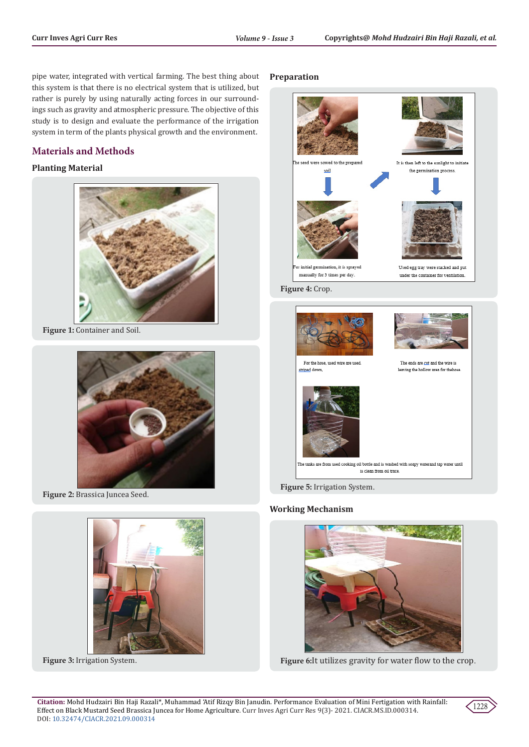pipe water, integrated with vertical farming. The best thing about this system is that there is no electrical system that is utilized, but rather is purely by using naturally acting forces in our surroundings such as gravity and atmospheric pressure. The objective of this study is to design and evaluate the performance of the irrigation system in term of the plants physical growth and the environment.

# **Materials and Methods**

## **Planting Material**



**Figure 1:** Container and Soil.



**Figure 2:** Brassica Juncea Seed.



**Figure 3:** Irrigation System.

## **Preparation**



**Figure 4:** Crop.



**Figure 5:** Irrigation System.

## **Working Mechanism**



**Figure 6:**It utilizes gravity for water flow to the crop.

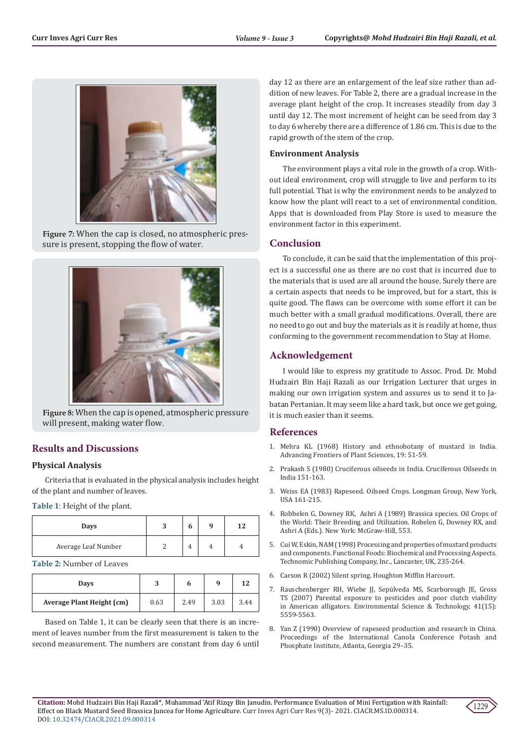

**Figure 7:** When the cap is closed, no atmospheric pressure is present, stopping the flow of water.



**Figure 8:** When the cap is opened, atmospheric pressure will present, making water flow.

# **Results and Discussions**

## **Physical Analysis**

Criteria that is evaluated in the physical analysis includes height of the plant and number of leaves.

**Table 1**: Height of the plant.

| Days                | n | q | 12 |
|---------------------|---|---|----|
| Average Leaf Number |   |   |    |

**Table 2:** Number of Leaves

| <b>Days</b>               | ມ    | O    | a    | 12   |
|---------------------------|------|------|------|------|
| Average Plant Height (cm) | 0.63 | 2.49 | 3.03 | 3.44 |

Based on Table 1, it can be clearly seen that there is an increment of leaves number from the first measurement is taken to the second measurement. The numbers are constant from day 6 until day 12 as there are an enlargement of the leaf size rather than addition of new leaves. For Table 2, there are a gradual increase in the average plant height of the crop. It increases steadily from day 3 until day 12. The most increment of height can be seed from day 3 to day 6 whereby there are a difference of 1.86 cm. This is due to the rapid growth of the stem of the crop.

## **Environment Analysis**

The environment plays a vital role in the growth of a crop. Without ideal environment, crop will struggle to live and perform to its full potential. That is why the environment needs to be analyzed to know how the plant will react to a set of environmental condition. Apps that is downloaded from Play Store is used to measure the environment factor in this experiment.

## **Conclusion**

To conclude, it can be said that the implementation of this project is a successful one as there are no cost that is incurred due to the materials that is used are all around the house. Surely there are a certain aspects that needs to be improved, but for a start, this is quite good. The flaws can be overcome with some effort it can be much better with a small gradual modifications. Overall, there are no need to go out and buy the materials as it is readily at home, thus conforming to the government recommendation to Stay at Home.

## **Acknowledgement**

I would like to express my gratitude to Assoc. Prod. Dr. Mohd Hudzairi Bin Haji Razali as our Irrigation Lecturer that urges in making our own irrigation system and assures us to send it to Jabatan Pertanian. It may seem like a hard task, but once we get going, it is much easier than it seems.

## **References**

- 1. Mehra KL (1968) History and ethnobotany of mustard in India. Advancing Frontiers of Plant Sciences, 19: 51-59.
- 2. [Prakash S \(1980\) Cruciferous oilseeds in India. Cruciferous Oilseeds in](https://www.cabdirect.org/cabdirect/abstract/19810719087) [India 151-163.](https://www.cabdirect.org/cabdirect/abstract/19810719087)
- 3. [Weiss EA \(1983\) Rapeseed. Oilseed Crops. Longman Group, New York,](https://www.scirp.org/(S(lz5mqp453edsnp55rrgjct55))/reference/ReferencesPapers.aspx?ReferenceID=1484079) [USA 161-215.](https://www.scirp.org/(S(lz5mqp453edsnp55rrgjct55))/reference/ReferencesPapers.aspx?ReferenceID=1484079)
- 4. Robbelen G, Downey RK, Ashri A (1989) Brassica species. Oil Crops of the World: Their Breeding and Utilization. Robelen G, Downey RX, and Ashri A (Eds.). New York: McGraw-Hill, 553.
- 5. Cui W, Eskin, NAM (1998) Processing and properties of mustard products and components. Functional Foods: Biochemical and Processing Aspects. Technomic Publishing Company, Inc., Lancaster, UK, 235-264.
- 6. [Carson R \(2002\) Silent spring. Houghton Mifflin Harcourt.](https://library.uniteddiversity.coop/More_Books_and_Reports/Silent_Spring-Rachel_Carson-1962.pdf)
- 7. [Rauschenberger RH, Wiebe JJ, Sepúlveda MS, Scarborough JE, Gross](https://pubs.acs.org/doi/10.1021/es0628194) [TS \(2007\) Parental exposure to pesticides and poor clutch viability](https://pubs.acs.org/doi/10.1021/es0628194) [in American alligators. Environmental Science & Technology, 41\(15\):](https://pubs.acs.org/doi/10.1021/es0628194) [5559-5563.](https://pubs.acs.org/doi/10.1021/es0628194)
- 8. Yan Z (1990) Overview of rapeseed production and research in China. Proceedings of the International Canola Conference Potash and Phosphate Institute, Atlanta, Georgia 29–35.

**Citation:** Mohd Hudzairi Bin Haji Razali\*, Muhammad 'Atif Rizqy Bin Janudin. Performance Evaluation of Mini Fertigation with Rainfall: Effect on Black Mustard Seed Brassica Juncea for Home Agriculture. Curr Inves Agri Curr Res 9(3)- 2021. CIACR.MS.ID.000314. DOI: [10.32474/CIACR.2021.09.0003](http://dx.doi.org/10.32474/CIACR.2021.09.000314)14